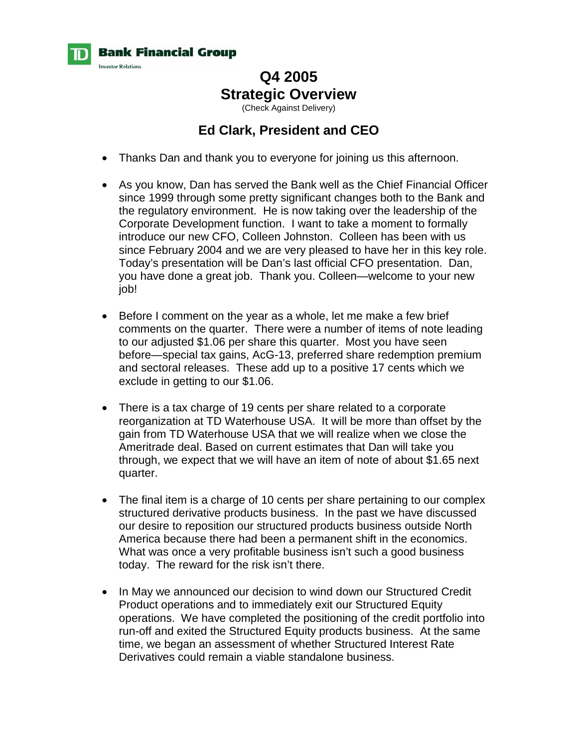

# **Q4 2005 Strategic Overview**

(Check Against Delivery)

## **Ed Clark, President and CEO**

- Thanks Dan and thank you to everyone for joining us this afternoon.
- As you know, Dan has served the Bank well as the Chief Financial Officer since 1999 through some pretty significant changes both to the Bank and the regulatory environment. He is now taking over the leadership of the Corporate Development function. I want to take a moment to formally introduce our new CFO, Colleen Johnston. Colleen has been with us since February 2004 and we are very pleased to have her in this key role. Today's presentation will be Dan's last official CFO presentation. Dan, you have done a great job. Thank you. Colleen—welcome to your new job!
- Before I comment on the year as a whole, let me make a few brief comments on the quarter. There were a number of items of note leading to our adjusted \$1.06 per share this quarter. Most you have seen before—special tax gains, AcG-13, preferred share redemption premium and sectoral releases. These add up to a positive 17 cents which we exclude in getting to our \$1.06.
- There is a tax charge of 19 cents per share related to a corporate reorganization at TD Waterhouse USA. It will be more than offset by the gain from TD Waterhouse USA that we will realize when we close the Ameritrade deal. Based on current estimates that Dan will take you through, we expect that we will have an item of note of about \$1.65 next quarter.
- The final item is a charge of 10 cents per share pertaining to our complex structured derivative products business. In the past we have discussed our desire to reposition our structured products business outside North America because there had been a permanent shift in the economics. What was once a very profitable business isn't such a good business today. The reward for the risk isn't there.
- In May we announced our decision to wind down our Structured Credit Product operations and to immediately exit our Structured Equity operations. We have completed the positioning of the credit portfolio into run-off and exited the Structured Equity products business. At the same time, we began an assessment of whether Structured Interest Rate Derivatives could remain a viable standalone business.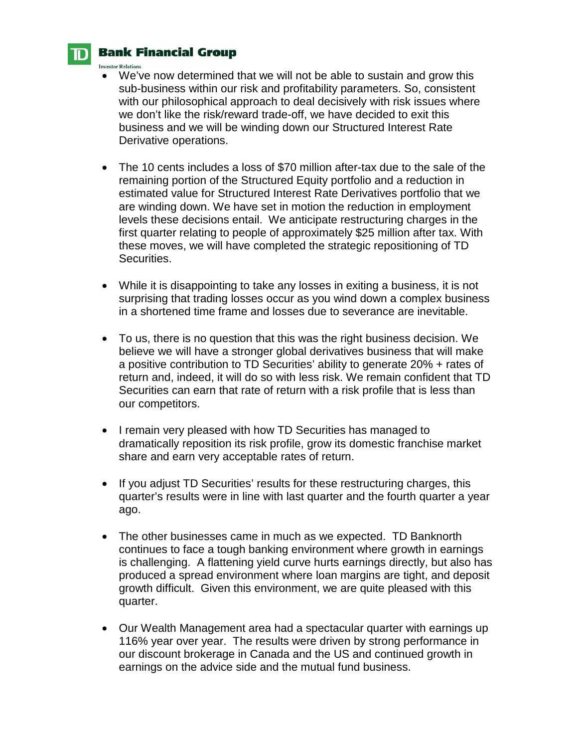

#### **Bank Financial Group**

**Investor Relations.** 

- We've now determined that we will not be able to sustain and grow this sub-business within our risk and profitability parameters. So, consistent with our philosophical approach to deal decisively with risk issues where we don't like the risk/reward trade-off, we have decided to exit this business and we will be winding down our Structured Interest Rate Derivative operations.
- The 10 cents includes a loss of \$70 million after-tax due to the sale of the remaining portion of the Structured Equity portfolio and a reduction in estimated value for Structured Interest Rate Derivatives portfolio that we are winding down. We have set in motion the reduction in employment levels these decisions entail. We anticipate restructuring charges in the first quarter relating to people of approximately \$25 million after tax. With these moves, we will have completed the strategic repositioning of TD Securities.
- While it is disappointing to take any losses in exiting a business, it is not surprising that trading losses occur as you wind down a complex business in a shortened time frame and losses due to severance are inevitable.
- To us, there is no question that this was the right business decision. We believe we will have a stronger global derivatives business that will make a positive contribution to TD Securities' ability to generate 20% + rates of return and, indeed, it will do so with less risk. We remain confident that TD Securities can earn that rate of return with a risk profile that is less than our competitors.
- I remain very pleased with how TD Securities has managed to dramatically reposition its risk profile, grow its domestic franchise market share and earn very acceptable rates of return.
- If you adjust TD Securities' results for these restructuring charges, this quarter's results were in line with last quarter and the fourth quarter a year ago.
- The other businesses came in much as we expected. TD Banknorth continues to face a tough banking environment where growth in earnings is challenging. A flattening yield curve hurts earnings directly, but also has produced a spread environment where loan margins are tight, and deposit growth difficult. Given this environment, we are quite pleased with this quarter.
- Our Wealth Management area had a spectacular quarter with earnings up 116% year over year. The results were driven by strong performance in our discount brokerage in Canada and the US and continued growth in earnings on the advice side and the mutual fund business.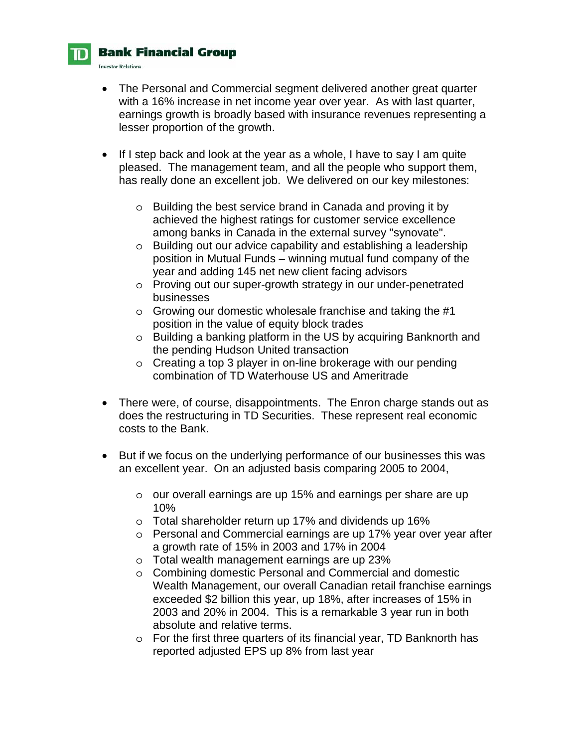

#### **Bank Financial Group**

**Investor Relations.** 

- The Personal and Commercial segment delivered another great quarter with a 16% increase in net income year over year. As with last quarter, earnings growth is broadly based with insurance revenues representing a lesser proportion of the growth.
- If I step back and look at the year as a whole, I have to say I am quite pleased. The management team, and all the people who support them, has really done an excellent job. We delivered on our key milestones:
	- o Building the best service brand in Canada and proving it by achieved the highest ratings for customer service excellence among banks in Canada in the external survey "synovate".
	- o Building out our advice capability and establishing a leadership position in Mutual Funds – winning mutual fund company of the year and adding 145 net new client facing advisors
	- o Proving out our super-growth strategy in our under-penetrated businesses
	- o Growing our domestic wholesale franchise and taking the #1 position in the value of equity block trades
	- o Building a banking platform in the US by acquiring Banknorth and the pending Hudson United transaction
	- o Creating a top 3 player in on-line brokerage with our pending combination of TD Waterhouse US and Ameritrade
- There were, of course, disappointments. The Enron charge stands out as does the restructuring in TD Securities. These represent real economic costs to the Bank.
- But if we focus on the underlying performance of our businesses this was an excellent year. On an adjusted basis comparing 2005 to 2004,
	- o our overall earnings are up 15% and earnings per share are up 10%
	- o Total shareholder return up 17% and dividends up 16%
	- o Personal and Commercial earnings are up 17% year over year after a growth rate of 15% in 2003 and 17% in 2004
	- o Total wealth management earnings are up 23%
	- o Combining domestic Personal and Commercial and domestic Wealth Management, our overall Canadian retail franchise earnings exceeded \$2 billion this year, up 18%, after increases of 15% in 2003 and 20% in 2004. This is a remarkable 3 year run in both absolute and relative terms.
	- o For the first three quarters of its financial year, TD Banknorth has reported adjusted EPS up 8% from last year